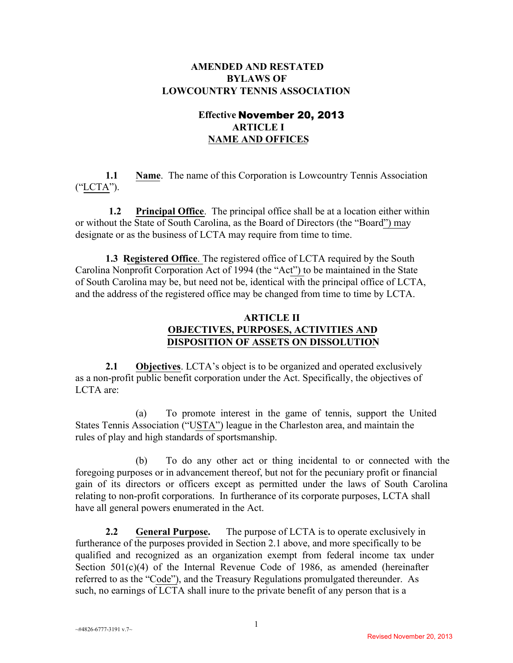# **AMENDED AND RESTATED BYLAWS OF LOWCOUNTRY TENNIS ASSOCIATION**

# **Effective** November 20, 2013 **ARTICLE I NAME AND OFFICES**

**1.1 Name.** The name of this Corporation is Lowcountry Tennis Association ("LCTA").

**1.2 Principal Office**. The principal office shall be at a location either within or without the State of South Carolina, as the Board of Directors (the "Board") may designate or as the business of LCTA may require from time to time.

**1.3 Registered Office**. The registered office of LCTA required by the South Carolina Nonprofit Corporation Act of 1994 (the "Act") to be maintained in the State of South Carolina may be, but need not be, identical with the principal office of LCTA, and the address of the registered office may be changed from time to time by LCTA.

# **ARTICLE II OBJECTIVES, PURPOSES, ACTIVITIES AND DISPOSITION OF ASSETS ON DISSOLUTION**

**2.1 Objectives**. LCTA's object is to be organized and operated exclusively as a non-profit public benefit corporation under the Act. Specifically, the objectives of LCTA are:

(a) To promote interest in the game of tennis, support the United States Tennis Association ("USTA") league in the Charleston area, and maintain the rules of play and high standards of sportsmanship.

(b) To do any other act or thing incidental to or connected with the foregoing purposes or in advancement thereof, but not for the pecuniary profit or financial gain of its directors or officers except as permitted under the laws of South Carolina relating to non-profit corporations. In furtherance of its corporate purposes, LCTA shall have all general powers enumerated in the Act.

**2.2 General Purpose.** The purpose of LCTA is to operate exclusively in furtherance of the purposes provided in Section 2.1 above, and more specifically to be qualified and recognized as an organization exempt from federal income tax under Section 501(c)(4) of the Internal Revenue Code of 1986, as amended (hereinafter referred to as the "Code"), and the Treasury Regulations promulgated thereunder. As such, no earnings of LCTA shall inure to the private benefit of any person that is a

 $~14826 - 6777 - 3191$  v.7 $\sim$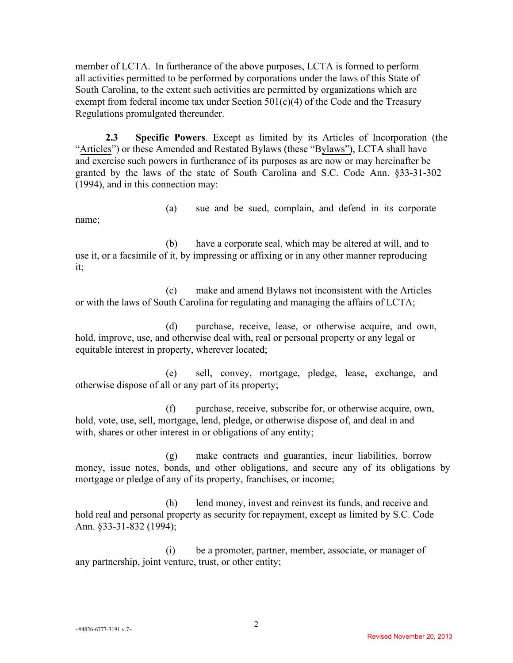member of LCTA. In furtherance of the above purposes, LCTA is formed to perform all activities permitted to be performed by corporations under the laws of this State of South Carolina, to the extent such activities are permitted by organizations which are exempt from federal income tax under Section  $501(c)(4)$  of the Code and the Treasury Regulations promulgated thereunder.

**2.3 Specific Powers**. Except as limited by its Articles of Incorporation (the "Articles") or these Amended and Restated Bylaws (these "Bylaws"), LCTA shall have and exercise such powers in furtherance of its purposes as are now or may hereinafter be granted by the laws of the state of South Carolina and S.C. Code Ann. §33-31-302 (1994), and in this connection may:

(a) sue and be sued, complain, and defend in its corporate name;

(b) have a corporate seal, which may be altered at will, and to use it, or a facsimile of it, by impressing or affixing or in any other manner reproducing it;

(c) make and amend Bylaws not inconsistent with the Articles or with the laws of South Carolina for regulating and managing the affairs of LCTA;

(d) purchase, receive, lease, or otherwise acquire, and own, hold, improve, use, and otherwise deal with, real or personal property or any legal or equitable interest in property, wherever located;

(e) sell, convey, mortgage, pledge, lease, exchange, and otherwise dispose of all or any part of its property;

(f) purchase, receive, subscribe for, or otherwise acquire, own, hold, vote, use, sell, mortgage, lend, pledge, or otherwise dispose of, and deal in and with, shares or other interest in or obligations of any entity;

(g) make contracts and guaranties, incur liabilities, borrow money, issue notes, bonds, and other obligations, and secure any of its obligations by mortgage or pledge of any of its property, franchises, or income;

(h) lend money, invest and reinvest its funds, and receive and hold real and personal property as security for repayment, except as limited by S.C. Code Ann. §33-31-832 (1994);

(i) be a promoter, partner, member, associate, or manager of any partnership, joint venture, trust, or other entity;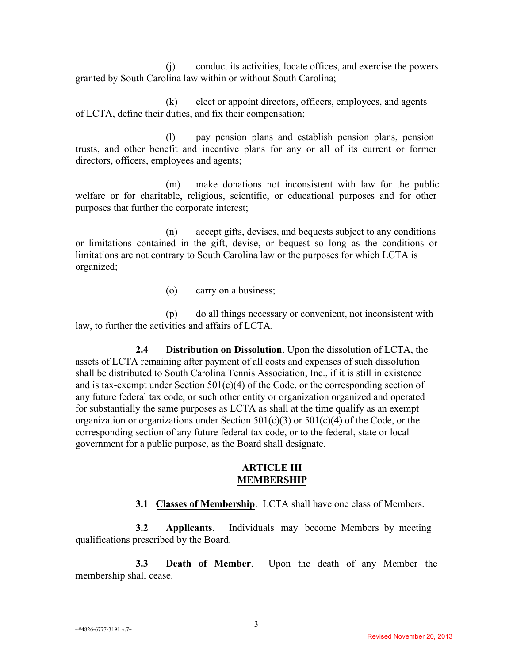(j) conduct its activities, locate offices, and exercise the powers granted by South Carolina law within or without South Carolina;

(k) elect or appoint directors, officers, employees, and agents of LCTA, define their duties, and fix their compensation;

(l) pay pension plans and establish pension plans, pension trusts, and other benefit and incentive plans for any or all of its current or former directors, officers, employees and agents;

(m) make donations not inconsistent with law for the public welfare or for charitable, religious, scientific, or educational purposes and for other purposes that further the corporate interest;

(n) accept gifts, devises, and bequests subject to any conditions or limitations contained in the gift, devise, or bequest so long as the conditions or limitations are not contrary to South Carolina law or the purposes for which LCTA is organized;

(o) carry on a business;

(p) do all things necessary or convenient, not inconsistent with law, to further the activities and affairs of LCTA.

**2.4 Distribution on Dissolution**. Upon the dissolution of LCTA, the assets of LCTA remaining after payment of all costs and expenses of such dissolution shall be distributed to South Carolina Tennis Association, Inc., if it is still in existence and is tax-exempt under Section  $501(c)(4)$  of the Code, or the corresponding section of any future federal tax code, or such other entity or organization organized and operated for substantially the same purposes as LCTA as shall at the time qualify as an exempt organization or organizations under Section  $501(c)(3)$  or  $501(c)(4)$  of the Code, or the corresponding section of any future federal tax code, or to the federal, state or local government for a public purpose, as the Board shall designate.

### **ARTICLE III MEMBERSHIP**

**3.1 Classes of Membership**.LCTA shall have one class of Members.

**3.2 Applicants**. Individuals may become Members by meeting qualifications prescribed by the Board.

**3.3 Death of Member**. Upon the death of any Member the membership shall cease.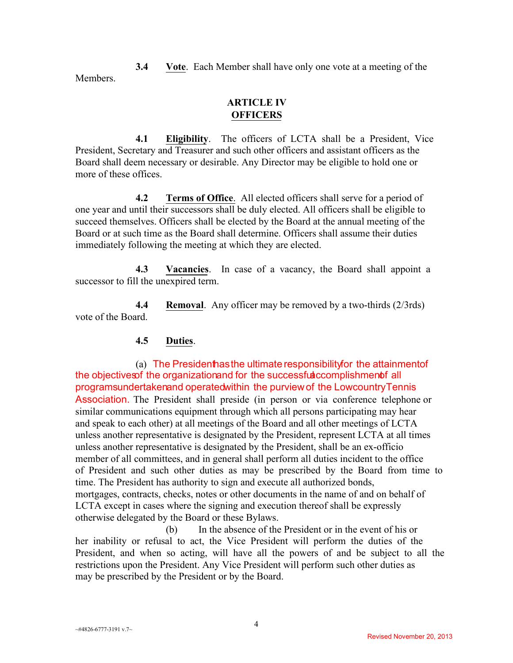**3.4 Vote**. Each Member shall have only one vote at a meeting of the **Members** 

## **ARTICLE IV OFFICERS**

**4.1 Eligibility**. The officers of LCTA shall be a President, Vice President, Secretary and Treasurer and such other officers and assistant officers as the Board shall deem necessary or desirable. Any Director may be eligible to hold one or more of these offices.

**4.2 Terms of Office**. All elected officers shall serve for a period of one year and until their successors shall be duly elected. All officers shall be eligible to succeed themselves. Officers shall be elected by the Board at the annual meeting of the Board or at such time as the Board shall determine. Officers shall assume their duties immediately following the meeting at which they are elected.

**4.3 Vacancies**. In case of a vacancy, the Board shall appoint a successor to fill the unexpired term.

**4.4 Removal**. Any officer may be removed by a two-thirds (2/3rds) vote of the Board.

# **4.5 Duties**.

(a) The President has the ultimate responsibility for the attainment of the objectives of the organization and for the successful accomplishment f all program sundertaken and operated within the purview of the Lowcountry Tennis Association. The President shall preside (in person or via conference telephone or similar communications equipment through which all persons participating may hear and speak to each other) at all meetings of the Board and all other meetings of LCTA unless another representative is designated by the President, represent LCTA at all times unless another representative is designated by the President, shall be an ex-officio member of all committees, and in general shall perform all duties incident to the office of President and such other duties as may be prescribed by the Board from time to time. The President has authority to sign and execute all authorized bonds, mortgages, contracts, checks, notes or other documents in the name of and on behalf of LCTA except in cases where the signing and execution thereof shall be expressly otherwise delegated by the Board or these Bylaws.

(b) In the absence of the President or in the event of his or her inability or refusal to act, the Vice President will perform the duties of the President, and when so acting, will have all the powers of and be subject to all the restrictions upon the President. Any Vice President will perform such other duties as may be prescribed by the President or by the Board.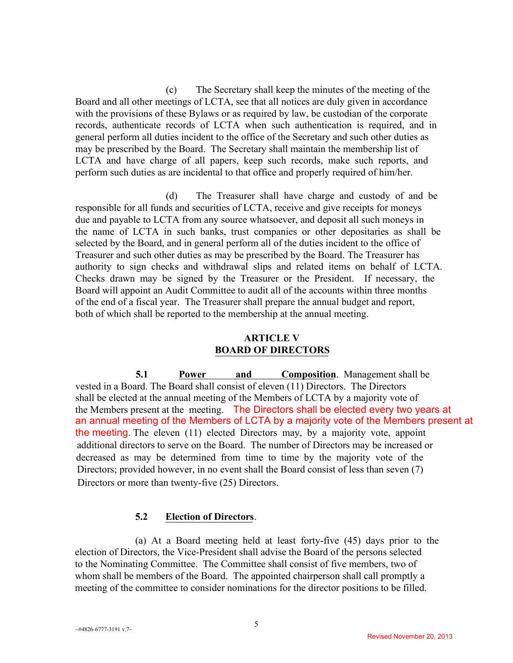(c) The Secretary shall keep the minutes of the meeting of the Board and all other meetings of LCTA, see that all notices are duly given in accordance with the provisions of these Bylaws or as required by law, be custodian of the corporate records, authenticate records of LCTA when such authentication is required, and in general perform all duties incident to the office of the Secretary and such other duties as may be prescribed by the Board. The Secretary shall maintain the membership list of LCTA and have charge of all papers, keep such records, make such reports, and perform such duties as are incidental to that office and properly required of him/her.

(d) The Treasurer shall have charge and custody of and be responsible for all funds and securities of LCTA, receive and give receipts for moneys due and payable to LCTA from any source whatsoever, and deposit all such moneys in the name of LCTA in such banks, trust companies or other depositaries as shall be selected by the Board, and in general perform all of the duties incident to the office of Treasurer and such other duties as may be prescribed by the Board. The Treasurer has authority to sign checks and withdrawal slips and related items on behalf of LCTA. Checks drawn may be signed by the Treasurer or the President. If necessary, the Board will appoint an Audit Committee to audit all of the accounts within three months of the end of a fiscal year. The Treasurer shall prepare the annual budget and report, both of which shall be reported to the membership at the annual meeting.

### **ARTICLE V BOARD OF DIRECTORS**

**5.1 Power and Composition**. Management shall be vested in a Board. The Board shall consist of eleven (11) Directors. The Directors shall be elected at the annual meeting of the Members of LCTA by a majority vote of the Members present at the meeting. The Directors shall be elected every two years at an annual meeting of the Members of LCTA by a majority vote of the Members present at the meeting. The eleven (11) elected Directors may, by a majority vote, appoint additional directors to serve on the Board. The number of Directors may be increased or decreased as may be determined from time to time by the majority vote of the Directors; provided however, in no event shall the Board consist of less than seven (7) Directors or more than twenty-five (25) Directors.

## **5.2 Election of Directors**.

(a) At a Board meeting held at least forty-five (45) days prior to the election of Directors, the Vice-President shall advise the Board of the persons selected to the Nominating Committee. The Committee shall consist of five members, two of whom shall be members of the Board. The appointed chairperson shall call promptly a meeting of the committee to consider nominations for the director positions to be filled.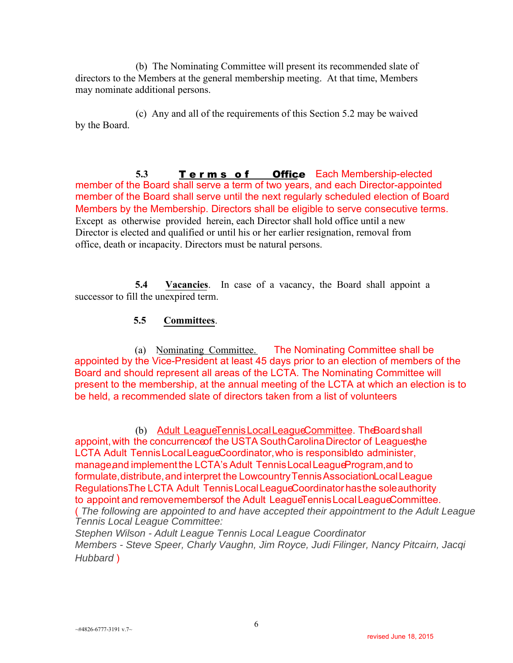(b) The Nominating Committee will present its recommended slate of directors to the Members at the general membership meeting. At that time, Members may nominate additional persons.

(c) Any and all of the requirements of this Section 5.2 may be waived by the Board.

5.3 **Terms of Office** Each Membership-elected member of the Board shall serve a term of two years, and each Director-appointed member of the Board shall serve until the next regularly scheduled election of Board Members by the Membership. Directors shall be eligible to serve consecutive terms. Except as otherwise provided herein, each Director shall hold office until a new Director is elected and qualified or until his or her earlier resignation, removal from office, death or incapacity. Directors must be natural persons.

**5.4 Vacancies**. In case of a vacancy, the Board shall appoint a successor to fill the unexpired term.

### **5.5 Committees**.

(a) Nominating Committee. The Nominating Committee shall be appointed by the Vice‐President at least 45 days prior to an election of members of the Board and should represent all areas of the LCTA. The Nominating Committee will present to the membership, at the annual meeting of the LCTA at which an election is to be held, a recommended slate of directors taken from a list of volunteers

(b) Adult League Tennis Local League Committee. The Board shall appoint, with the concurrence of the USTA South Carolina Director of Leaguesthe LCTA Adult Tennis Local League Coordinator, who is responsible to administer, manage, and implement the LCTA's Adult Tennis Local League Program, and to formulate, distribute, and interpret the Lowcountry Tennis Association Local League Regulations. The LCTA Adult Tennis Local League Coordinator has the sole authority to appoint and removemembers of the Adult League Tennis Local League Committee.

( *The following are appointed to and have accepted their appointment to the Adult League Tennis Local League Committee:*

*Stephen Wilson - Adult League Tennis Local League Coordinator Members - Steve Speer, Charly Vaughn, Jim Royce, Judi Filinger, Nancy Pitcairn, Jacqi Hubbard* )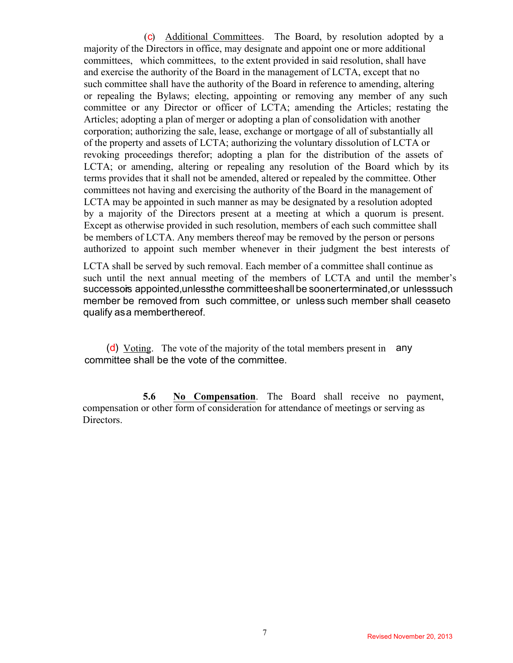(c) Additional Committees. The Board, by resolution adopted by a majority of the Directors in office, may designate and appoint one or more additional committees, which committees, to the extent provided in said resolution, shall have and exercise the authority of the Board in the management of LCTA, except that no such committee shall have the authority of the Board in reference to amending, altering or repealing the Bylaws; electing, appointing or removing any member of any such committee or any Director or officer of LCTA; amending the Articles; restating the Articles; adopting a plan of merger or adopting a plan of consolidation with another corporation; authorizing the sale, lease, exchange or mortgage of all of substantially all of the property and assets of LCTA; authorizing the voluntary dissolution of LCTA or revoking proceedings therefor; adopting a plan for the distribution of the assets of LCTA; or amending, altering or repealing any resolution of the Board which by its terms provides that it shall not be amended, altered or repealed by the committee. Other committees not having and exercising the authority of the Board in the management of LCTA may be appointed in such manner as may be designated by a resolution adopted by a majority of the Directors present at a meeting at which a quorum is present. Except as otherwise provided in such resolution, members of each such committee shall be members of LCTA. Any members thereof may be removed by the person or persons authorized to appoint such member whenever in their judgment the best interests of

LCTA shall be served by such removal. Each member of a committee shall continue as such until the next annual meeting of the members of LCTA and until the member's successors appointed, unless the committee shall be sooner terminated, or unless such member be removed from such committee, or unless such member shall ceaseto qualify as a member thereof.

(d) Voting. The vote of the majority of the total members present in any committee shall be the vote of the committee.

**5.6 No Compensation**. The Board shall receive no payment, compensation or other form of consideration for attendance of meetings or serving as Directors.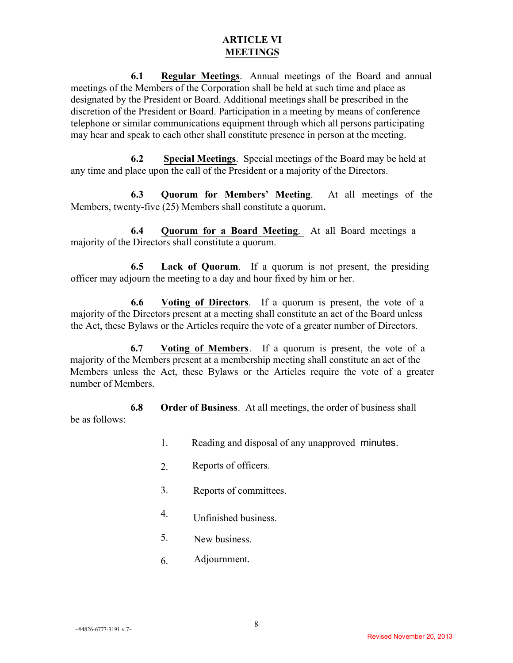#### **ARTICLE VI MEETINGS**

**6.1 Regular Meetings**. Annual meetings of the Board and annual meetings of the Members of the Corporation shall be held at such time and place as designated by the President or Board. Additional meetings shall be prescribed in the discretion of the President or Board. Participation in a meeting by means of conference telephone or similar communications equipment through which all persons participating may hear and speak to each other shall constitute presence in person at the meeting.

**6.2 Special Meetings**. Special meetings of the Board may be held at any time and place upon the call of the President or a majority of the Directors.

**6.3 Quorum for Members' Meeting**. At all meetings of the Members, twenty-five (25) Members shall constitute a quorum**.** 

**6.4 Quorum for a Board Meeting**. At all Board meetings a majority of the Directors shall constitute a quorum.

**6.5 Lack of Quorum**. If a quorum is not present, the presiding officer may adjourn the meeting to a day and hour fixed by him or her.

**6.6 Voting of Directors**. If a quorum is present, the vote of a majority of the Directors present at a meeting shall constitute an act of the Board unless the Act, these Bylaws or the Articles require the vote of a greater number of Directors.

**6.7 Voting of Members**. If a quorum is present, the vote of a majority of the Members present at a membership meeting shall constitute an act of the Members unless the Act, these Bylaws or the Articles require the vote of a greater number of Members.

**6.8 Order of Business**. At all meetings, the order of business shall be as follows:

- 1. Reading and disposal of any unapproved minutes.
- 2. Reports of officers.
- 3. Reports of committees.
- 4. Unfinished business.
- 5. New business.
- 6. Adjournment.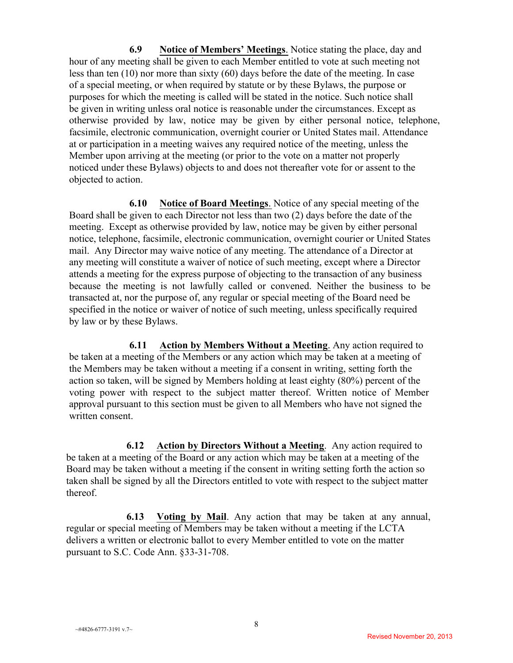**6.9 Notice of Members' Meetings**. Notice stating the place, day and hour of any meeting shall be given to each Member entitled to vote at such meeting not less than ten (10) nor more than sixty (60) days before the date of the meeting. In case of a special meeting, or when required by statute or by these Bylaws, the purpose or purposes for which the meeting is called will be stated in the notice. Such notice shall be given in writing unless oral notice is reasonable under the circumstances. Except as otherwise provided by law, notice may be given by either personal notice, telephone, facsimile, electronic communication, overnight courier or United States mail. Attendance at or participation in a meeting waives any required notice of the meeting, unless the Member upon arriving at the meeting (or prior to the vote on a matter not properly noticed under these Bylaws) objects to and does not thereafter vote for or assent to the objected to action.

**6.10 Notice of Board Meetings**. Notice of any special meeting of the Board shall be given to each Director not less than two (2) days before the date of the meeting. Except as otherwise provided by law, notice may be given by either personal notice, telephone, facsimile, electronic communication, overnight courier or United States mail. Any Director may waive notice of any meeting. The attendance of a Director at any meeting will constitute a waiver of notice of such meeting, except where a Director attends a meeting for the express purpose of objecting to the transaction of any business because the meeting is not lawfully called or convened. Neither the business to be transacted at, nor the purpose of, any regular or special meeting of the Board need be specified in the notice or waiver of notice of such meeting, unless specifically required by law or by these Bylaws.

**6.11 Action by Members Without a Meeting**. Any action required to be taken at a meeting of the Members or any action which may be taken at a meeting of the Members may be taken without a meeting if a consent in writing, setting forth the action so taken, will be signed by Members holding at least eighty (80%) percent of the voting power with respect to the subject matter thereof. Written notice of Member approval pursuant to this section must be given to all Members who have not signed the written consent.

**6.12 Action by Directors Without a Meeting**. Any action required to be taken at a meeting of the Board or any action which may be taken at a meeting of the Board may be taken without a meeting if the consent in writing setting forth the action so taken shall be signed by all the Directors entitled to vote with respect to the subject matter thereof.

**6.13 Voting by Mail**. Any action that may be taken at any annual, regular or special meeting of Members may be taken without a meeting if the LCTA delivers a written or electronic ballot to every Member entitled to vote on the matter pursuant to S.C. Code Ann. §33-31-708.